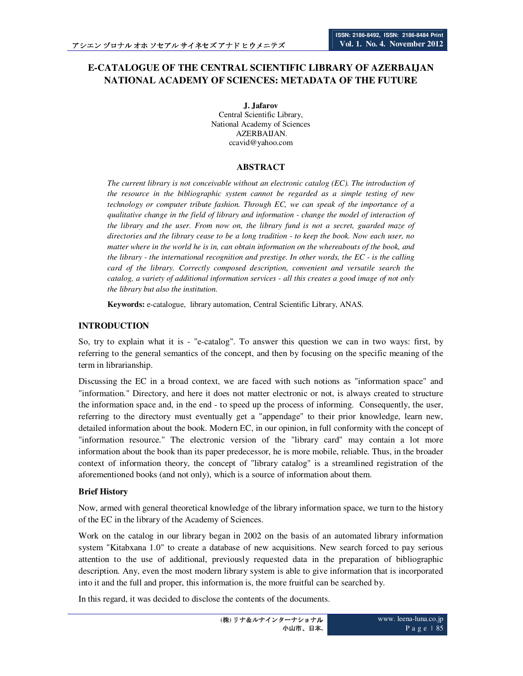# **E-CATALOGUE OF THE CENTRAL SCIENTIFIC LIBRARY OF AZERBAIJAN NATIONAL ACADEMY OF SCIENCES: METADATA OF THE FUTURE**

**J. Jafarov**  Central Scientific Library, National Academy of Sciences AZERBAIJAN. ccavid@yahoo.com

## **ABSTRACT**

*The current library is not conceivable without an electronic catalog (EC). The introduction of the resource in the bibliographic system cannot be regarded as a simple testing of new technology or computer tribute fashion. Through EC, we can speak of the importance of a qualitative change in the field of library and information - change the model of interaction of the library and the user. From now on, the library fund is not a secret, guarded maze of directories and the library cease to be a long tradition - to keep the book. Now each user, no matter where in the world he is in, can obtain information on the whereabouts of the book, and the library - the international recognition and prestige. In other words, the EC - is the calling card of the library. Correctly composed description, convenient and versatile search the catalog, a variety of additional information services - all this creates a good image of not only the library but also the institution.* 

**Keywords:** e-catalogue, library automation, Central Scientific Library, ANAS.

# **INTRODUCTION**

So, try to explain what it is - "e-catalog". To answer this question we can in two ways: first, by referring to the general semantics of the concept, and then by focusing on the specific meaning of the term in librarianship.

Discussing the EC in a broad context, we are faced with such notions as "information space" and "information." Directory, and here it does not matter electronic or not, is always created to structure the information space and, in the end - to speed up the process of informing. Consequently, the user, referring to the directory must eventually get a "appendage" to their prior knowledge, learn new, detailed information about the book. Modern EC, in our opinion, in full conformity with the concept of "information resource." The electronic version of the "library card" may contain a lot more information about the book than its paper predecessor, he is more mobile, reliable. Thus, in the broader context of information theory, the concept of "library catalog" is a streamlined registration of the aforementioned books (and not only), which is a source of information about them.

#### **Brief History**

Now, armed with general theoretical knowledge of the library information space, we turn to the history of the EC in the library of the Academy of Sciences.

Work on the catalog in our library began in 2002 on the basis of an automated library information system "Kitabxana 1.0" to create a database of new acquisitions. New search forced to pay serious attention to the use of additional, previously requested data in the preparation of bibliographic description. Any, even the most modern library system is able to give information that is incorporated into it and the full and proper, this information is, the more fruitful can be searched by.

In this regard, it was decided to disclose the contents of the documents.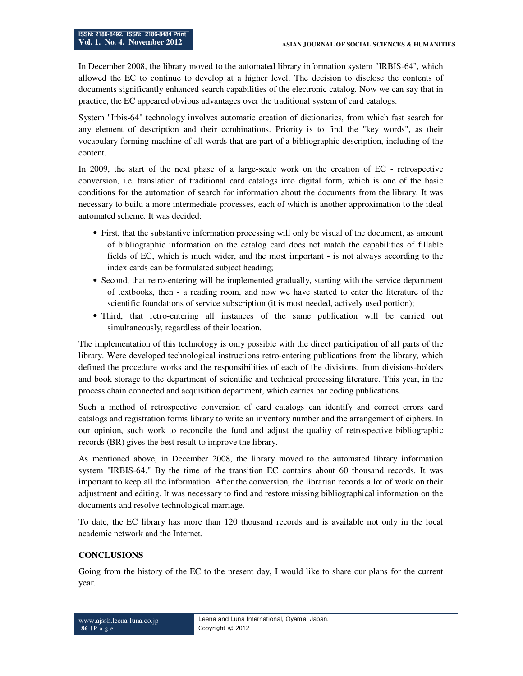In December 2008, the library moved to the automated library information system "IRBIS-64", which allowed the EC to continue to develop at a higher level. The decision to disclose the contents of documents significantly enhanced search capabilities of the electronic catalog. Now we can say that in practice, the EC appeared obvious advantages over the traditional system of card catalogs.

System "Irbis-64" technology involves automatic creation of dictionaries, from which fast search for any element of description and their combinations. Priority is to find the "key words", as their vocabulary forming machine of all words that are part of a bibliographic description, including of the content.

In 2009, the start of the next phase of a large-scale work on the creation of EC - retrospective conversion, i.e. translation of traditional card catalogs into digital form, which is one of the basic conditions for the automation of search for information about the documents from the library. It was necessary to build a more intermediate processes, each of which is another approximation to the ideal automated scheme. It was decided:

- First, that the substantive information processing will only be visual of the document, as amount of bibliographic information on the catalog card does not match the capabilities of fillable fields of EC, which is much wider, and the most important - is not always according to the index cards can be formulated subject heading;
- Second, that retro-entering will be implemented gradually, starting with the service department of textbooks, then - a reading room, and now we have started to enter the literature of the scientific foundations of service subscription (it is most needed, actively used portion);
- Third, that retro-entering all instances of the same publication will be carried out simultaneously, regardless of their location.

The implementation of this technology is only possible with the direct participation of all parts of the library. Were developed technological instructions retro-entering publications from the library, which defined the procedure works and the responsibilities of each of the divisions, from divisions-holders and book storage to the department of scientific and technical processing literature. This year, in the process chain connected and acquisition department, which carries bar coding publications.

Such a method of retrospective conversion of card catalogs can identify and correct errors card catalogs and registration forms library to write an inventory number and the arrangement of ciphers. In our opinion, such work to reconcile the fund and adjust the quality of retrospective bibliographic records (BR) gives the best result to improve the library.

As mentioned above, in December 2008, the library moved to the automated library information system "IRBIS-64." By the time of the transition EC contains about 60 thousand records. It was important to keep all the information. After the conversion, the librarian records a lot of work on their adjustment and editing. It was necessary to find and restore missing bibliographical information on the documents and resolve technological marriage.

To date, the EC library has more than 120 thousand records and is available not only in the local academic network and the Internet.

# **CONCLUSIONS**

Going from the history of the EC to the present day, I would like to share our plans for the current year.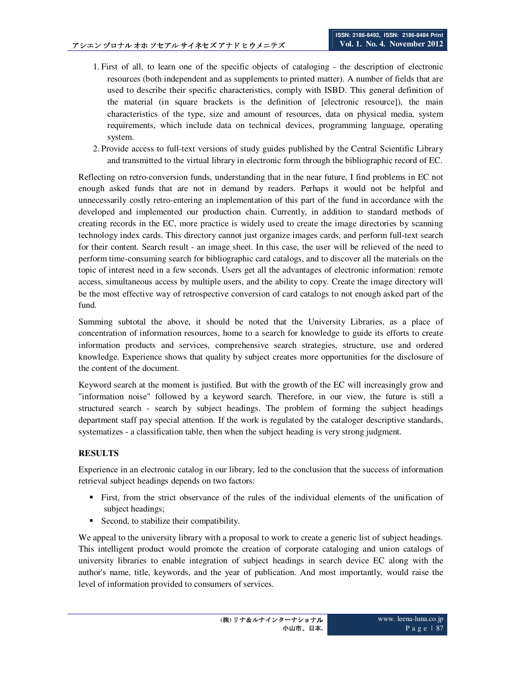- 1. First of all, to learn one of the specific objects of cataloging the description of electronic resources (both independent and as supplements to printed matter). A number of fields that are used to describe their specific characteristics, comply with ISBD. This general definition of the material (in square brackets is the definition of [electronic resource]), the main characteristics of the type, size and amount of resources, data on physical media, system requirements, which include data on technical devices, programming language, operating system.
- 2. Provide access to full-text versions of study guides published by the Central Scientific Library and transmitted to the virtual library in electronic form through the bibliographic record of EC.

Reflecting on retro-conversion funds, understanding that in the near future, I find problems in EC not enough asked funds that are not in demand by readers. Perhaps it would not be helpful and unnecessarily costly retro-entering an implementation of this part of the fund in accordance with the developed and implemented our production chain. Currently, in addition to standard methods of creating records in the EC, more practice is widely used to create the image directories by scanning technology index cards. This directory cannot just organize images cards, and perform full-text search for their content. Search result - an image sheet. In this case, the user will be relieved of the need to perform time-consuming search for bibliographic card catalogs, and to discover all the materials on the topic of interest need in a few seconds. Users get all the advantages of electronic information: remote access, simultaneous access by multiple users, and the ability to copy. Create the image directory will be the most effective way of retrospective conversion of card catalogs to not enough asked part of the fund.

Summing subtotal the above, it should be noted that the University Libraries, as a place of concentration of information resources, home to a search for knowledge to guide its efforts to create information products and services, comprehensive search strategies, structure, use and ordered knowledge. Experience shows that quality by subject creates more opportunities for the disclosure of the content of the document.

Keyword search at the moment is justified. But with the growth of the EC will increasingly grow and "information noise" followed by a keyword search. Therefore, in our view, the future is still a structured search - search by subject headings. The problem of forming the subject headings department staff pay special attention. If the work is regulated by the cataloger descriptive standards, systematizes - a classification table, then when the subject heading is very strong judgment.

# **RESULTS**

Experience in an electronic catalog in our library, led to the conclusion that the success of information retrieval subject headings depends on two factors:

- First, from the strict observance of the rules of the individual elements of the unification of subject headings;
- Second, to stabilize their compatibility.

We appeal to the university library with a proposal to work to create a generic list of subject headings. This intelligent product would promote the creation of corporate cataloging and union catalogs of university libraries to enable integration of subject headings in search device EC along with the author's name, title, keywords, and the year of publication. And most importantly, would raise the level of information provided to consumers of services.